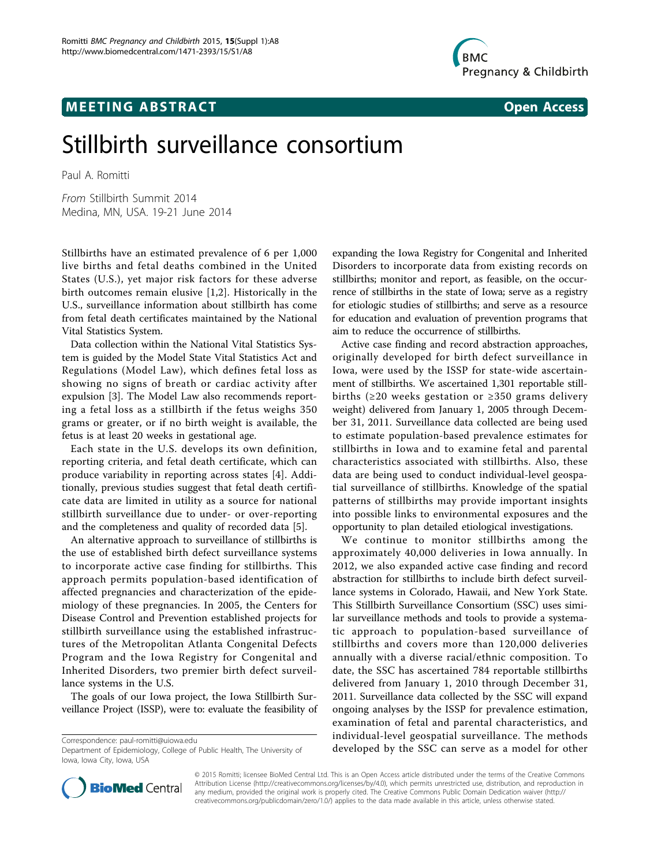## **MEETING ABSTRACT CONSUMING ABSTRACT**



# Stillbirth surveillance consortium

Paul A. Romitti

From Stillbirth Summit 2014 Medina, MN, USA. 19-21 June 2014

Stillbirths have an estimated prevalence of 6 per 1,000 live births and fetal deaths combined in the United States (U.S.), yet major risk factors for these adverse birth outcomes remain elusive [[1,2](#page-1-0)]. Historically in the U.S., surveillance information about stillbirth has come from fetal death certificates maintained by the National Vital Statistics System.

Data collection within the National Vital Statistics System is guided by the Model State Vital Statistics Act and Regulations (Model Law), which defines fetal loss as showing no signs of breath or cardiac activity after expulsion [[3\]](#page-1-0). The Model Law also recommends reporting a fetal loss as a stillbirth if the fetus weighs 350 grams or greater, or if no birth weight is available, the fetus is at least 20 weeks in gestational age.

Each state in the U.S. develops its own definition, reporting criteria, and fetal death certificate, which can produce variability in reporting across states [[4\]](#page-1-0). Additionally, previous studies suggest that fetal death certificate data are limited in utility as a source for national stillbirth surveillance due to under- or over-reporting and the completeness and quality of recorded data [\[5](#page-1-0)].

An alternative approach to surveillance of stillbirths is the use of established birth defect surveillance systems to incorporate active case finding for stillbirths. This approach permits population-based identification of affected pregnancies and characterization of the epidemiology of these pregnancies. In 2005, the Centers for Disease Control and Prevention established projects for stillbirth surveillance using the established infrastructures of the Metropolitan Atlanta Congenital Defects Program and the Iowa Registry for Congenital and Inherited Disorders, two premier birth defect surveillance systems in the U.S.

The goals of our Iowa project, the Iowa Stillbirth Surveillance Project (ISSP), were to: evaluate the feasibility of

expanding the Iowa Registry for Congenital and Inherited Disorders to incorporate data from existing records on stillbirths; monitor and report, as feasible, on the occurrence of stillbirths in the state of Iowa; serve as a registry for etiologic studies of stillbirths; and serve as a resource for education and evaluation of prevention programs that aim to reduce the occurrence of stillbirths.

Active case finding and record abstraction approaches, originally developed for birth defect surveillance in Iowa, were used by the ISSP for state-wide ascertainment of stillbirths. We ascertained 1,301 reportable stillbirths (≥20 weeks gestation or ≥350 grams delivery weight) delivered from January 1, 2005 through December 31, 2011. Surveillance data collected are being used to estimate population-based prevalence estimates for stillbirths in Iowa and to examine fetal and parental characteristics associated with stillbirths. Also, these data are being used to conduct individual-level geospatial surveillance of stillbirths. Knowledge of the spatial patterns of stillbirths may provide important insights into possible links to environmental exposures and the opportunity to plan detailed etiological investigations.

We continue to monitor stillbirths among the approximately 40,000 deliveries in Iowa annually. In 2012, we also expanded active case finding and record abstraction for stillbirths to include birth defect surveillance systems in Colorado, Hawaii, and New York State. This Stillbirth Surveillance Consortium (SSC) uses similar surveillance methods and tools to provide a systematic approach to population-based surveillance of stillbirths and covers more than 120,000 deliveries annually with a diverse racial/ethnic composition. To date, the SSC has ascertained 784 reportable stillbirths delivered from January 1, 2010 through December 31, 2011. Surveillance data collected by the SSC will expand ongoing analyses by the ISSP for prevalence estimation, examination of fetal and parental characteristics, and individual-level geospatial surveillance. The methods Correspondence: [paul-romitti@uiowa.edu](mailto:paul-romitti@uiowa.edu)<br>Department of Epidemiology, College of Public Health, The University of **developed by the SSC can serve as a model for other** 



© 2015 Romitti; licensee BioMed Central Ltd. This is an Open Access article distributed under the terms of the Creative Commons Attribution License [\(http://creativecommons.org/licenses/by/4.0](http://creativecommons.org/licenses/by/4.0)), which permits unrestricted use, distribution, and reproduction in any medium, provided the original work is properly cited. The Creative Commons Public Domain Dedication waiver [\(http://](http://creativecommons.org/publicdomain/zero/1.0/) [creativecommons.org/publicdomain/zero/1.0/](http://creativecommons.org/publicdomain/zero/1.0/)) applies to the data made available in this article, unless otherwise stated.

Department of Epidemiology, College of Public Health, The University of Iowa, Iowa City, Iowa, USA